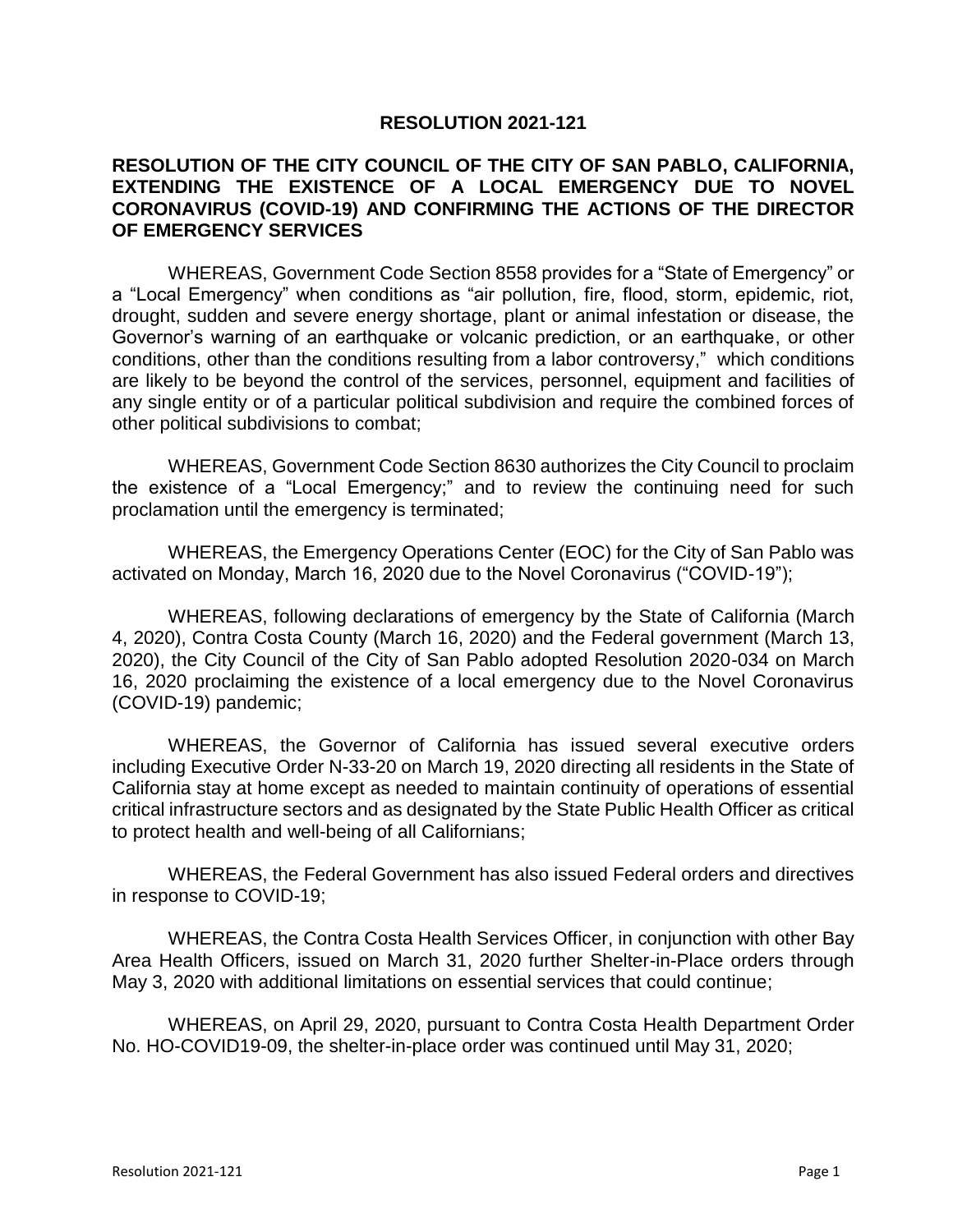## **RESOLUTION 2021-121**

## **RESOLUTION OF THE CITY COUNCIL OF THE CITY OF SAN PABLO, CALIFORNIA, EXTENDING THE EXISTENCE OF A LOCAL EMERGENCY DUE TO NOVEL CORONAVIRUS (COVID-19) AND CONFIRMING THE ACTIONS OF THE DIRECTOR OF EMERGENCY SERVICES**

WHEREAS, Government Code Section 8558 provides for a "State of Emergency" or a "Local Emergency" when conditions as "air pollution, fire, flood, storm, epidemic, riot, drought, sudden and severe energy shortage, plant or animal infestation or disease, the Governor's warning of an earthquake or volcanic prediction, or an earthquake, or other conditions, other than the conditions resulting from a labor controversy," which conditions are likely to be beyond the control of the services, personnel, equipment and facilities of any single entity or of a particular political subdivision and require the combined forces of other political subdivisions to combat;

WHEREAS, Government Code Section 8630 authorizes the City Council to proclaim the existence of a "Local Emergency;" and to review the continuing need for such proclamation until the emergency is terminated;

WHEREAS, the Emergency Operations Center (EOC) for the City of San Pablo was activated on Monday, March 16, 2020 due to the Novel Coronavirus ("COVID-19");

WHEREAS, following declarations of emergency by the State of California (March 4, 2020), Contra Costa County (March 16, 2020) and the Federal government (March 13, 2020), the City Council of the City of San Pablo adopted Resolution 2020-034 on March 16, 2020 proclaiming the existence of a local emergency due to the Novel Coronavirus (COVID-19) pandemic;

WHEREAS, the Governor of California has issued several executive orders including Executive Order N-33-20 on March 19, 2020 directing all residents in the State of California stay at home except as needed to maintain continuity of operations of essential critical infrastructure sectors and as designated by the State Public Health Officer as critical to protect health and well-being of all Californians;

WHEREAS, the Federal Government has also issued Federal orders and directives in response to COVID-19;

WHEREAS, the Contra Costa Health Services Officer, in conjunction with other Bay Area Health Officers, issued on March 31, 2020 further Shelter-in-Place orders through May 3, 2020 with additional limitations on essential services that could continue;

WHEREAS, on April 29, 2020, pursuant to Contra Costa Health Department Order No. HO-COVID19-09, the shelter-in-place order was continued until May 31, 2020;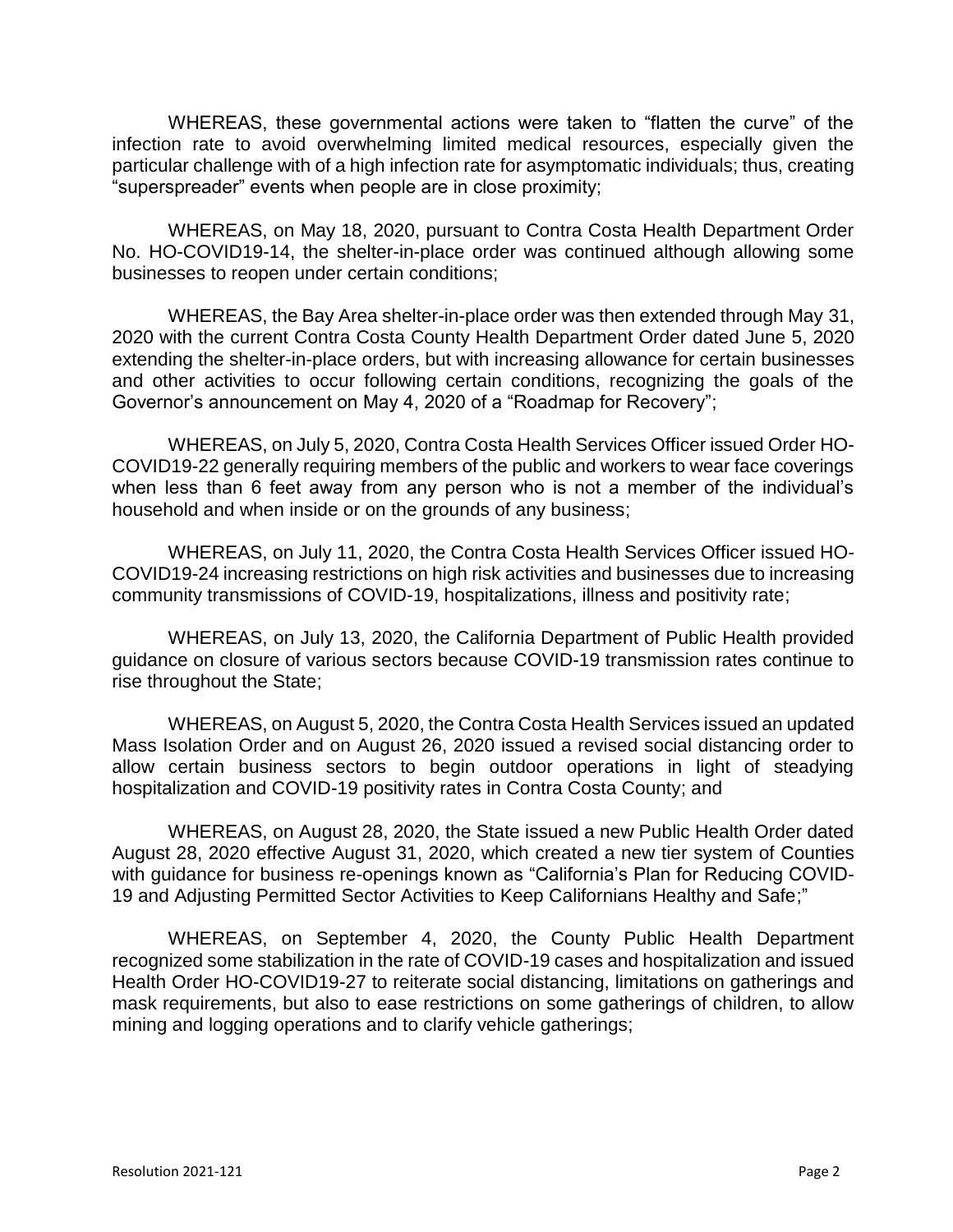WHEREAS, these governmental actions were taken to "flatten the curve" of the infection rate to avoid overwhelming limited medical resources, especially given the particular challenge with of a high infection rate for asymptomatic individuals; thus, creating "superspreader" events when people are in close proximity;

WHEREAS, on May 18, 2020, pursuant to Contra Costa Health Department Order No. HO-COVID19-14, the shelter-in-place order was continued although allowing some businesses to reopen under certain conditions;

WHEREAS, the Bay Area shelter-in-place order was then extended through May 31, 2020 with the current Contra Costa County Health Department Order dated June 5, 2020 extending the shelter-in-place orders, but with increasing allowance for certain businesses and other activities to occur following certain conditions, recognizing the goals of the Governor's announcement on May 4, 2020 of a "Roadmap for Recovery";

WHEREAS, on July 5, 2020, Contra Costa Health Services Officer issued Order HO-COVID19-22 generally requiring members of the public and workers to wear face coverings when less than 6 feet away from any person who is not a member of the individual's household and when inside or on the grounds of any business;

WHEREAS, on July 11, 2020, the Contra Costa Health Services Officer issued HO-COVID19-24 increasing restrictions on high risk activities and businesses due to increasing community transmissions of COVID-19, hospitalizations, illness and positivity rate;

WHEREAS, on July 13, 2020, the California Department of Public Health provided guidance on closure of various sectors because COVID-19 transmission rates continue to rise throughout the State;

WHEREAS, on August 5, 2020, the Contra Costa Health Services issued an updated Mass Isolation Order and on August 26, 2020 issued a revised social distancing order to allow certain business sectors to begin outdoor operations in light of steadying hospitalization and COVID-19 positivity rates in Contra Costa County; and

WHEREAS, on August 28, 2020, the State issued a new Public Health Order dated August 28, 2020 effective August 31, 2020, which created a new tier system of Counties with guidance for business re-openings known as "California's Plan for Reducing COVID-19 and Adjusting Permitted Sector Activities to Keep Californians Healthy and Safe;"

WHEREAS, on September 4, 2020, the County Public Health Department recognized some stabilization in the rate of COVID-19 cases and hospitalization and issued Health Order HO-COVID19-27 to reiterate social distancing, limitations on gatherings and mask requirements, but also to ease restrictions on some gatherings of children, to allow mining and logging operations and to clarify vehicle gatherings;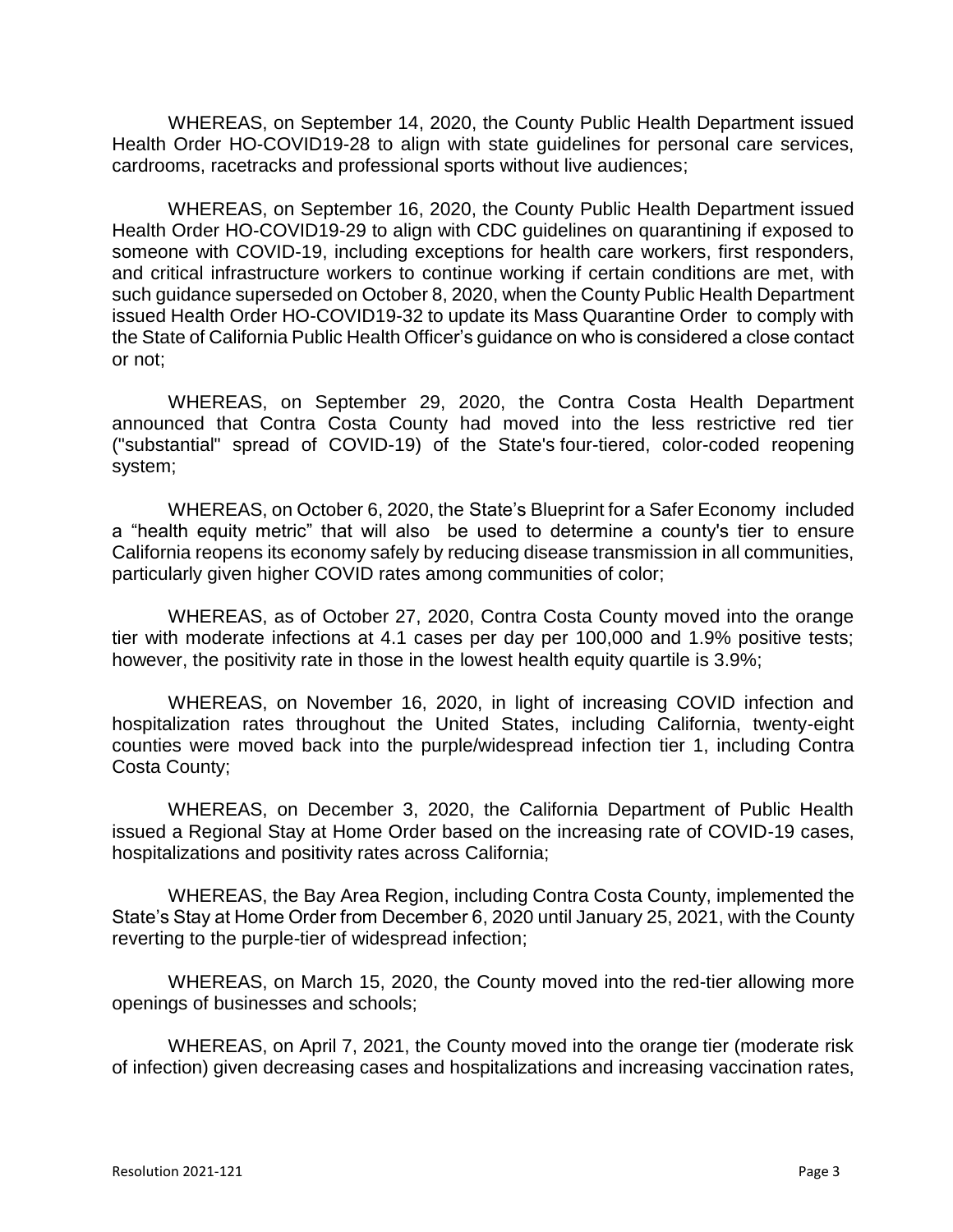WHEREAS, on September 14, 2020, the County Public Health Department issued Health Order HO-COVID19-28 to align with state guidelines for personal care services, cardrooms, racetracks and professional sports without live audiences;

WHEREAS, on September 16, 2020, the County Public Health Department issued Health Order HO-COVID19-29 to align with CDC guidelines on quarantining if exposed to someone with COVID-19, including exceptions for health care workers, first responders, and critical infrastructure workers to continue working if certain conditions are met, with such guidance superseded on October 8, 2020, when the County Public Health Department issued Health Order HO-COVID19-32 to update its Mass Quarantine Order to comply with the State of California Public Health Officer's guidance on who is considered a close contact or not;

WHEREAS, on September 29, 2020, the Contra Costa Health Department announced that Contra Costa County had moved into the less restrictive red tier ("substantial" spread of COVID-19) of the State's [four-tiered, color-coded reopening](https://covid19.ca.gov/safer-economy/)  [system;](https://covid19.ca.gov/safer-economy/)

WHEREAS, on October 6, 2020, the State's [Blueprint for a Safer Economy](https://www.cdph.ca.gov/Programs/CID/DCDC/Pages/COVID-19/COVID19CountyMonitoringOverview.aspx) included a "health equity metric" that will also be used to determine a county's tier to ensure California reopens its economy safely by reducing disease transmission in all communities, particularly given higher COVID rates among communities of color;

WHEREAS, as of October 27, 2020, Contra Costa County moved into the orange tier with moderate infections at 4.1 cases per day per 100,000 and 1.9% positive tests; however, the positivity rate in those in the lowest health equity quartile is 3.9%;

WHEREAS, on November 16, 2020, in light of increasing COVID infection and hospitalization rates throughout the United States, including California, twenty-eight counties were moved back into the purple/widespread infection tier 1, including Contra Costa County;

WHEREAS, on December 3, 2020, the California Department of Public Health issued a Regional Stay at Home Order based on the increasing rate of COVID-19 cases, hospitalizations and positivity rates across California;

WHEREAS, the Bay Area Region, including Contra Costa County, implemented the State's Stay at Home Order from December 6, 2020 until January 25, 2021, with the County reverting to the purple-tier of widespread infection;

WHEREAS, on March 15, 2020, the County moved into the red-tier allowing more openings of businesses and schools;

WHEREAS, on April 7, 2021, the County moved into the orange tier (moderate risk of infection) given decreasing cases and hospitalizations and increasing vaccination rates,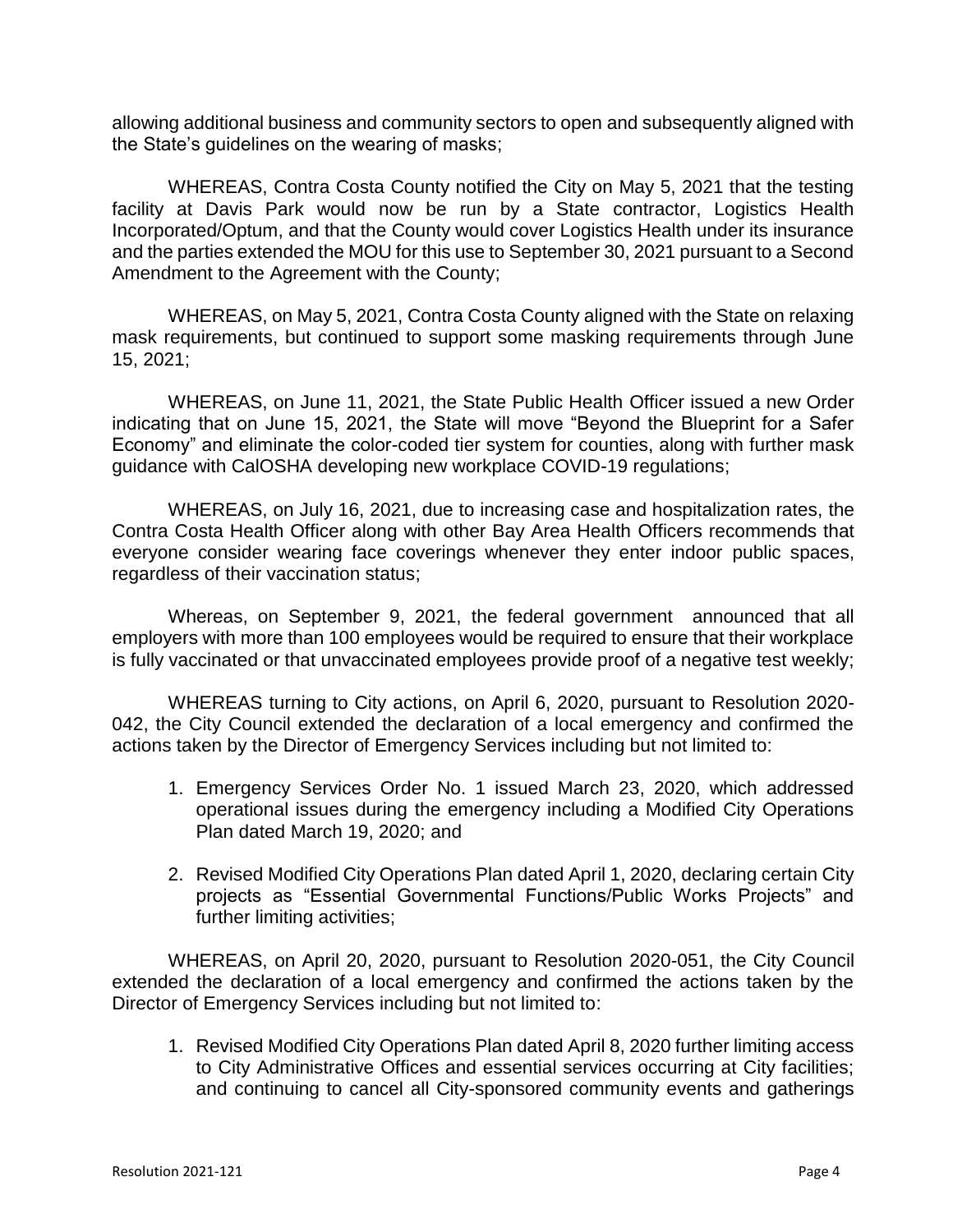allowing additional business and community sectors to open and subsequently aligned with the State's guidelines on the wearing of masks;

WHEREAS, Contra Costa County notified the City on May 5, 2021 that the testing facility at Davis Park would now be run by a State contractor, Logistics Health Incorporated/Optum, and that the County would cover Logistics Health under its insurance and the parties extended the MOU for this use to September 30, 2021 pursuant to a Second Amendment to the Agreement with the County;

WHEREAS, on May 5, 2021, Contra Costa County aligned with the State on relaxing mask requirements, but continued to support some masking requirements through June 15, 2021;

WHEREAS, on June 11, 2021, the State Public Health Officer issued a new Order indicating that on June 15, 2021, the State will move "Beyond the Blueprint for a Safer Economy" and eliminate the color-coded tier system for counties, along with further mask guidance with CalOSHA developing new workplace COVID-19 regulations;

WHEREAS, on July 16, 2021, due to increasing case and hospitalization rates, the Contra Costa Health Officer along with other Bay Area Health Officers recommends that everyone consider wearing face coverings whenever they enter indoor public spaces, regardless of their vaccination status;

Whereas, on September 9, 2021, the federal government announced that all employers with more than 100 employees would be required to ensure that their workplace is fully vaccinated or that unvaccinated employees provide proof of a negative test weekly;

WHEREAS turning to City actions, on April 6, 2020, pursuant to Resolution 2020- 042, the City Council extended the declaration of a local emergency and confirmed the actions taken by the Director of Emergency Services including but not limited to:

- 1. Emergency Services Order No. 1 issued March 23, 2020, which addressed operational issues during the emergency including a Modified City Operations Plan dated March 19, 2020; and
- 2. Revised Modified City Operations Plan dated April 1, 2020, declaring certain City projects as "Essential Governmental Functions/Public Works Projects" and further limiting activities;

WHEREAS, on April 20, 2020, pursuant to Resolution 2020-051, the City Council extended the declaration of a local emergency and confirmed the actions taken by the Director of Emergency Services including but not limited to:

1. Revised Modified City Operations Plan dated April 8, 2020 further limiting access to City Administrative Offices and essential services occurring at City facilities; and continuing to cancel all City-sponsored community events and gatherings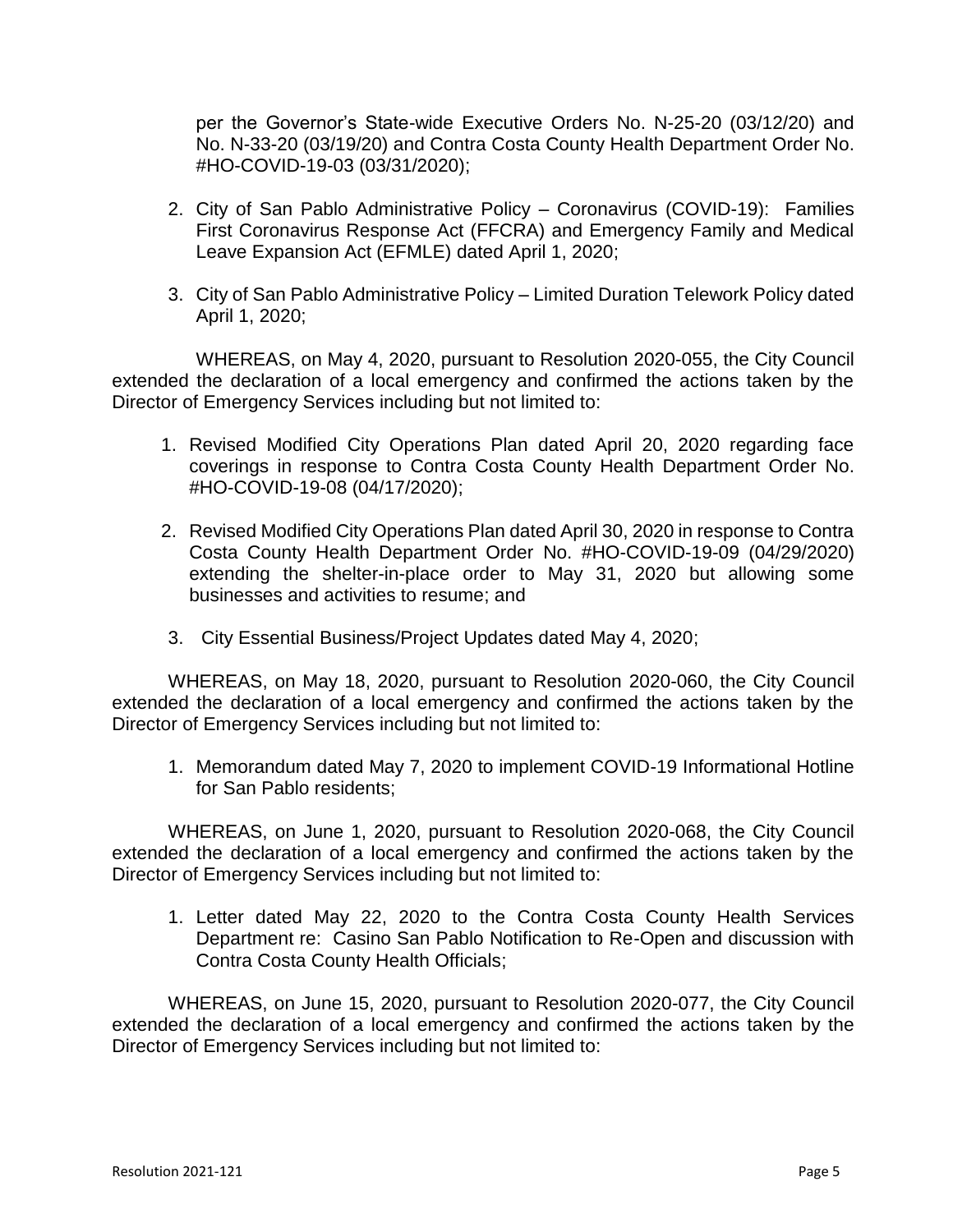per the Governor's State-wide Executive Orders No. N-25-20 (03/12/20) and No. N-33-20 (03/19/20) and Contra Costa County Health Department Order No. #HO-COVID-19-03 (03/31/2020);

- 2. City of San Pablo Administrative Policy Coronavirus (COVID-19): Families First Coronavirus Response Act (FFCRA) and Emergency Family and Medical Leave Expansion Act (EFMLE) dated April 1, 2020;
- 3. City of San Pablo Administrative Policy Limited Duration Telework Policy dated April 1, 2020;

WHEREAS, on May 4, 2020, pursuant to Resolution 2020-055, the City Council extended the declaration of a local emergency and confirmed the actions taken by the Director of Emergency Services including but not limited to:

- 1. Revised Modified City Operations Plan dated April 20, 2020 regarding face coverings in response to Contra Costa County Health Department Order No. #HO-COVID-19-08 (04/17/2020);
- 2. Revised Modified City Operations Plan dated April 30, 2020 in response to Contra Costa County Health Department Order No. #HO-COVID-19-09 (04/29/2020) extending the shelter-in-place order to May 31, 2020 but allowing some businesses and activities to resume; and
- 3. City Essential Business/Project Updates dated May 4, 2020;

WHEREAS, on May 18, 2020, pursuant to Resolution 2020-060, the City Council extended the declaration of a local emergency and confirmed the actions taken by the Director of Emergency Services including but not limited to:

1. Memorandum dated May 7, 2020 to implement COVID-19 Informational Hotline for San Pablo residents;

WHEREAS, on June 1, 2020, pursuant to Resolution 2020-068, the City Council extended the declaration of a local emergency and confirmed the actions taken by the Director of Emergency Services including but not limited to:

1. Letter dated May 22, 2020 to the Contra Costa County Health Services Department re: Casino San Pablo Notification to Re-Open and discussion with Contra Costa County Health Officials;

WHEREAS, on June 15, 2020, pursuant to Resolution 2020-077, the City Council extended the declaration of a local emergency and confirmed the actions taken by the Director of Emergency Services including but not limited to: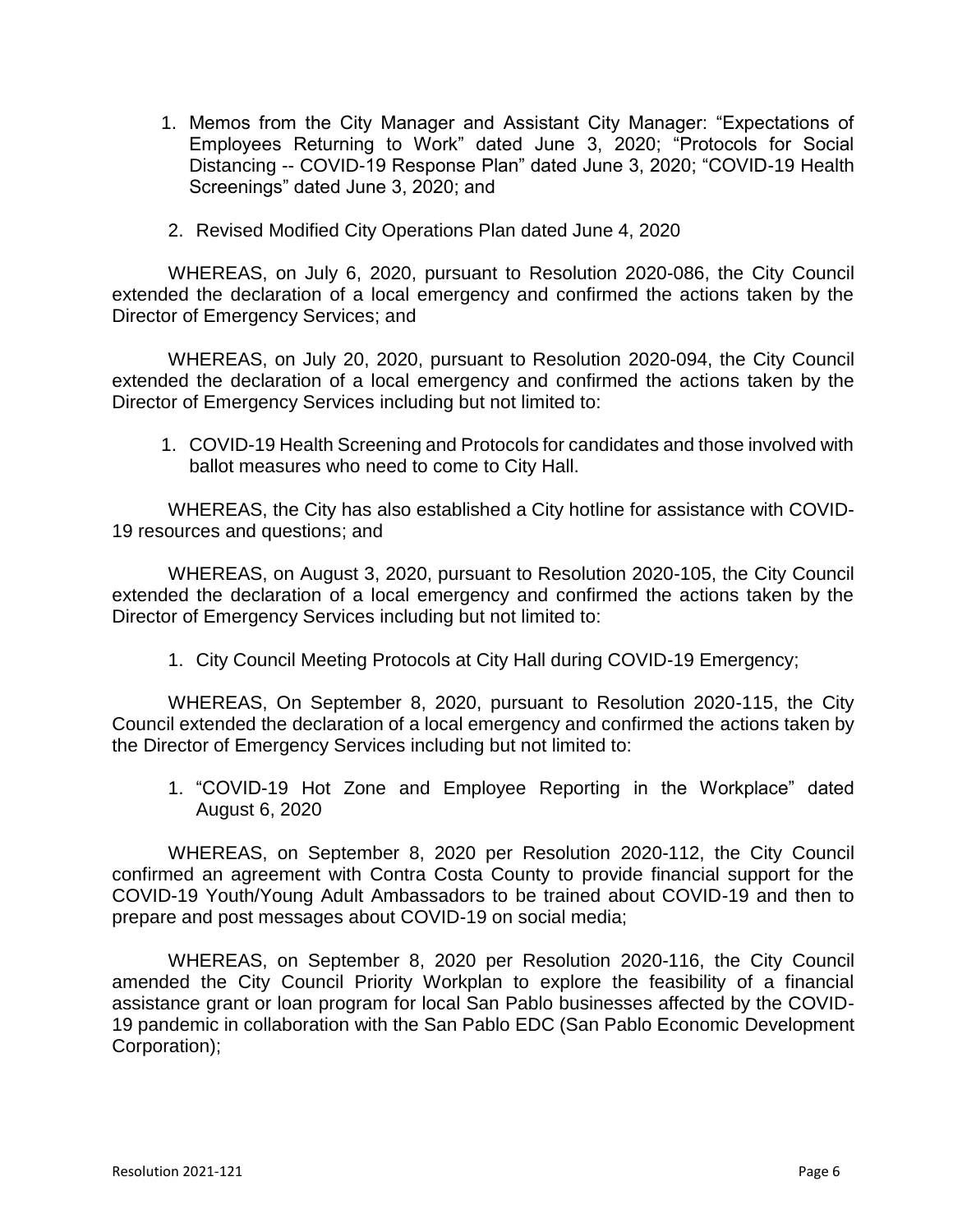- 1. Memos from the City Manager and Assistant City Manager: "Expectations of Employees Returning to Work" dated June 3, 2020; "Protocols for Social Distancing -- COVID-19 Response Plan" dated June 3, 2020; "COVID-19 Health Screenings" dated June 3, 2020; and
- 2. Revised Modified City Operations Plan dated June 4, 2020

WHEREAS, on July 6, 2020, pursuant to Resolution 2020-086, the City Council extended the declaration of a local emergency and confirmed the actions taken by the Director of Emergency Services; and

WHEREAS, on July 20, 2020, pursuant to Resolution 2020-094, the City Council extended the declaration of a local emergency and confirmed the actions taken by the Director of Emergency Services including but not limited to:

1. COVID-19 Health Screening and Protocols for candidates and those involved with ballot measures who need to come to City Hall.

WHEREAS, the City has also established a City hotline for assistance with COVID-19 resources and questions; and

WHEREAS, on August 3, 2020, pursuant to Resolution 2020-105, the City Council extended the declaration of a local emergency and confirmed the actions taken by the Director of Emergency Services including but not limited to:

1. City Council Meeting Protocols at City Hall during COVID-19 Emergency;

WHEREAS, On September 8, 2020, pursuant to Resolution 2020-115, the City Council extended the declaration of a local emergency and confirmed the actions taken by the Director of Emergency Services including but not limited to:

1. "COVID-19 Hot Zone and Employee Reporting in the Workplace" dated August 6, 2020

WHEREAS, on September 8, 2020 per Resolution 2020-112, the City Council confirmed an agreement with Contra Costa County to provide financial support for the COVID-19 Youth/Young Adult Ambassadors to be trained about COVID-19 and then to prepare and post messages about COVID-19 on social media;

WHEREAS, on September 8, 2020 per Resolution 2020-116, the City Council amended the City Council Priority Workplan to explore the feasibility of a financial assistance grant or loan program for local San Pablo businesses affected by the COVID-19 pandemic in collaboration with the San Pablo EDC (San Pablo Economic Development Corporation);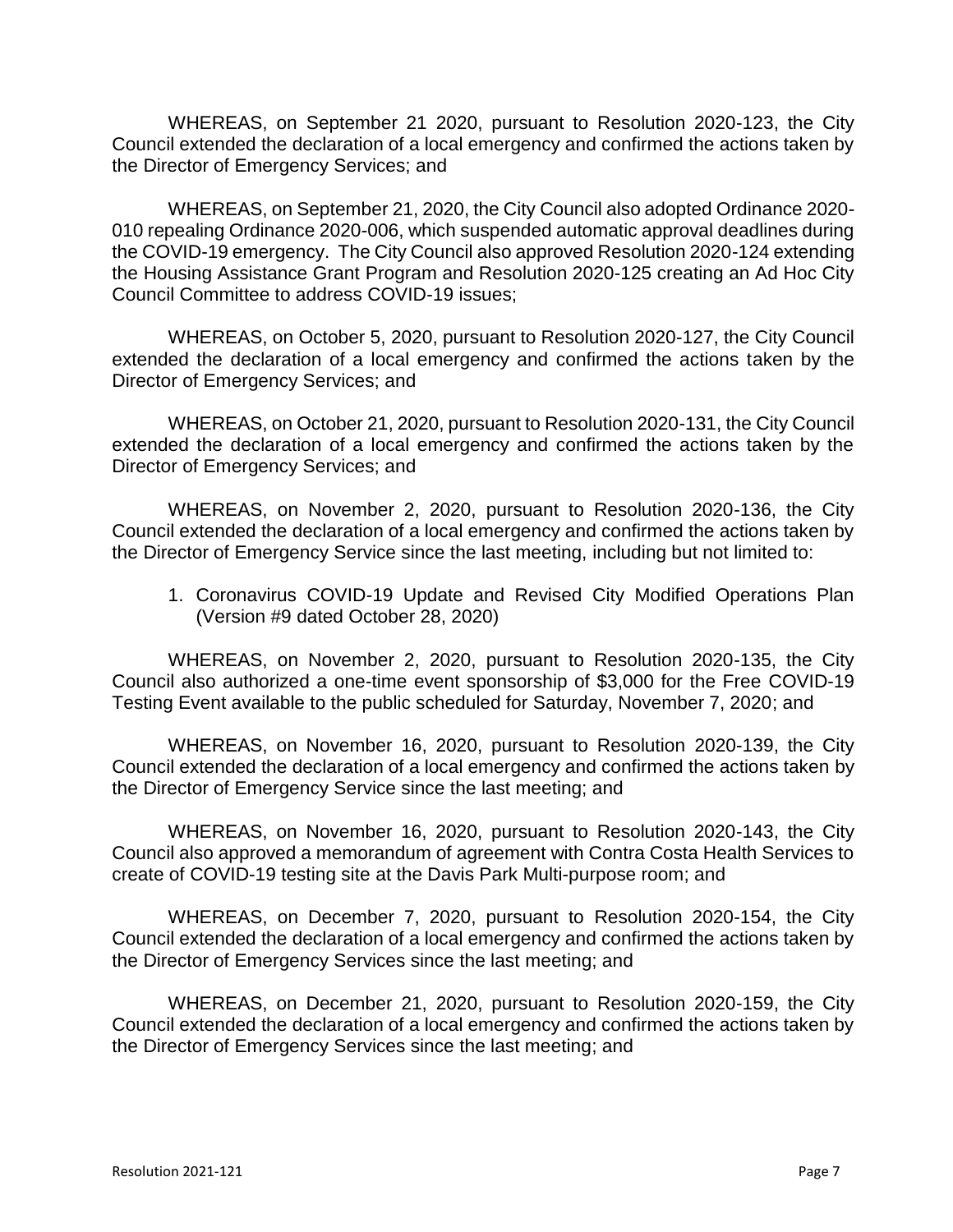WHEREAS, on September 21 2020, pursuant to Resolution 2020-123, the City Council extended the declaration of a local emergency and confirmed the actions taken by the Director of Emergency Services; and

WHEREAS, on September 21, 2020, the City Council also adopted Ordinance 2020- 010 repealing Ordinance 2020-006, which suspended automatic approval deadlines during the COVID-19 emergency. The City Council also approved Resolution 2020-124 extending the Housing Assistance Grant Program and Resolution 2020-125 creating an Ad Hoc City Council Committee to address COVID-19 issues;

WHEREAS, on October 5, 2020, pursuant to Resolution 2020-127, the City Council extended the declaration of a local emergency and confirmed the actions taken by the Director of Emergency Services; and

WHEREAS, on October 21, 2020, pursuant to Resolution 2020-131, the City Council extended the declaration of a local emergency and confirmed the actions taken by the Director of Emergency Services; and

WHEREAS, on November 2, 2020, pursuant to Resolution 2020-136, the City Council extended the declaration of a local emergency and confirmed the actions taken by the Director of Emergency Service since the last meeting, including but not limited to:

1. Coronavirus COVID-19 Update and Revised City Modified Operations Plan (Version #9 dated October 28, 2020)

WHEREAS, on November 2, 2020, pursuant to Resolution 2020-135, the City Council also authorized a one-time event sponsorship of \$3,000 for the Free COVID-19 Testing Event available to the public scheduled for Saturday, November 7, 2020; and

WHEREAS, on November 16, 2020, pursuant to Resolution 2020-139, the City Council extended the declaration of a local emergency and confirmed the actions taken by the Director of Emergency Service since the last meeting; and

WHEREAS, on November 16, 2020, pursuant to Resolution 2020-143, the City Council also approved a memorandum of agreement with Contra Costa Health Services to create of COVID-19 testing site at the Davis Park Multi-purpose room; and

WHEREAS, on December 7, 2020, pursuant to Resolution 2020-154, the City Council extended the declaration of a local emergency and confirmed the actions taken by the Director of Emergency Services since the last meeting; and

WHEREAS, on December 21, 2020, pursuant to Resolution 2020-159, the City Council extended the declaration of a local emergency and confirmed the actions taken by the Director of Emergency Services since the last meeting; and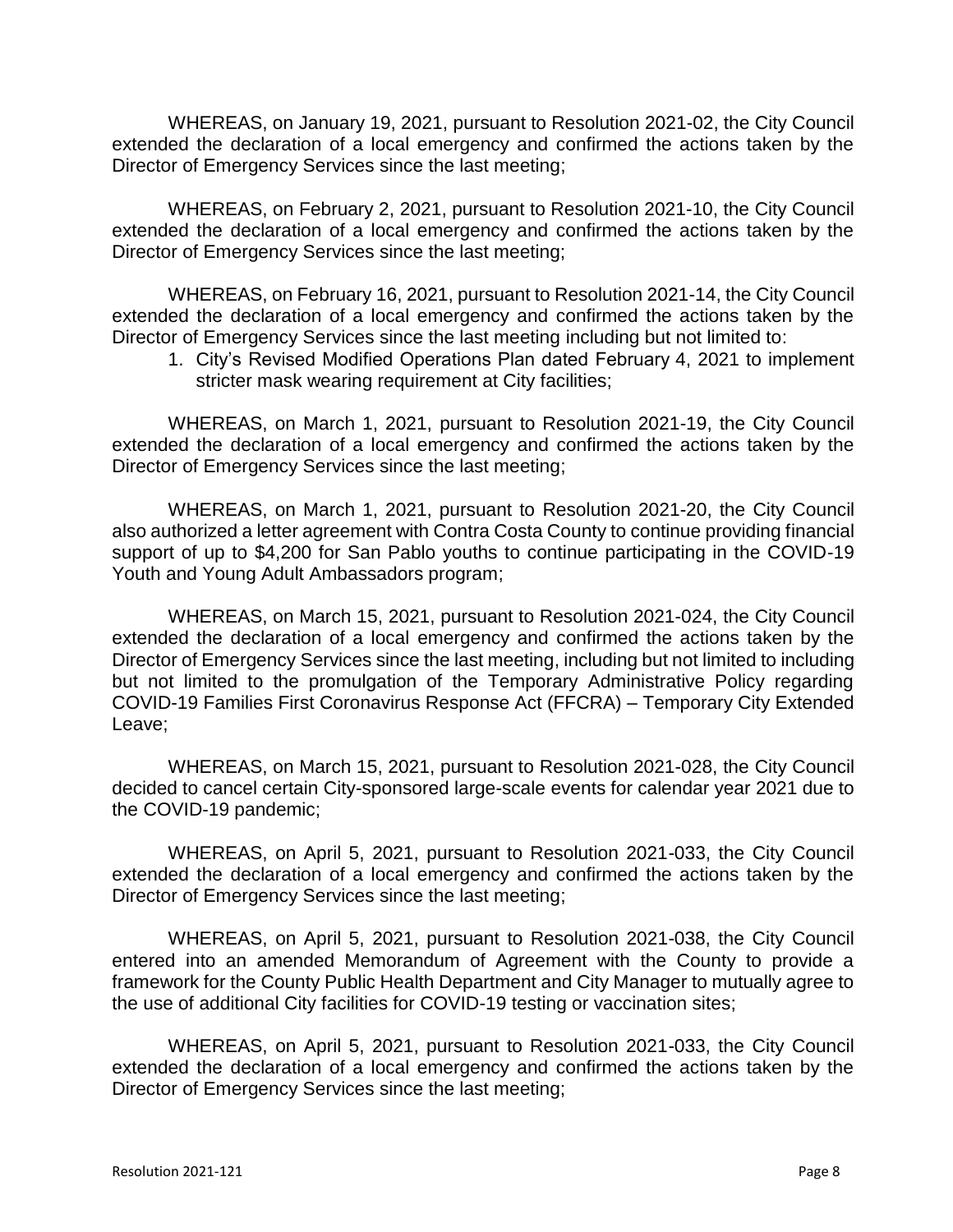WHEREAS, on January 19, 2021, pursuant to Resolution 2021-02, the City Council extended the declaration of a local emergency and confirmed the actions taken by the Director of Emergency Services since the last meeting;

WHEREAS, on February 2, 2021, pursuant to Resolution 2021-10, the City Council extended the declaration of a local emergency and confirmed the actions taken by the Director of Emergency Services since the last meeting;

WHEREAS, on February 16, 2021, pursuant to Resolution 2021-14, the City Council extended the declaration of a local emergency and confirmed the actions taken by the Director of Emergency Services since the last meeting including but not limited to:

1. City's Revised Modified Operations Plan dated February 4, 2021 to implement stricter mask wearing requirement at City facilities;

WHEREAS, on March 1, 2021, pursuant to Resolution 2021-19, the City Council extended the declaration of a local emergency and confirmed the actions taken by the Director of Emergency Services since the last meeting;

WHEREAS, on March 1, 2021, pursuant to Resolution 2021-20, the City Council also authorized a letter agreement with Contra Costa County to continue providing financial support of up to \$4,200 for San Pablo youths to continue participating in the COVID-19 Youth and Young Adult Ambassadors program;

WHEREAS, on March 15, 2021, pursuant to Resolution 2021-024, the City Council extended the declaration of a local emergency and confirmed the actions taken by the Director of Emergency Services since the last meeting, including but not limited to including but not limited to the promulgation of the Temporary Administrative Policy regarding COVID-19 Families First Coronavirus Response Act (FFCRA) – Temporary City Extended Leave;

WHEREAS, on March 15, 2021, pursuant to Resolution 2021-028, the City Council decided to cancel certain City-sponsored large-scale events for calendar year 2021 due to the COVID-19 pandemic;

WHEREAS, on April 5, 2021, pursuant to Resolution 2021-033, the City Council extended the declaration of a local emergency and confirmed the actions taken by the Director of Emergency Services since the last meeting;

WHEREAS, on April 5, 2021, pursuant to Resolution 2021-038, the City Council entered into an amended Memorandum of Agreement with the County to provide a framework for the County Public Health Department and City Manager to mutually agree to the use of additional City facilities for COVID-19 testing or vaccination sites;

WHEREAS, on April 5, 2021, pursuant to Resolution 2021-033, the City Council extended the declaration of a local emergency and confirmed the actions taken by the Director of Emergency Services since the last meeting;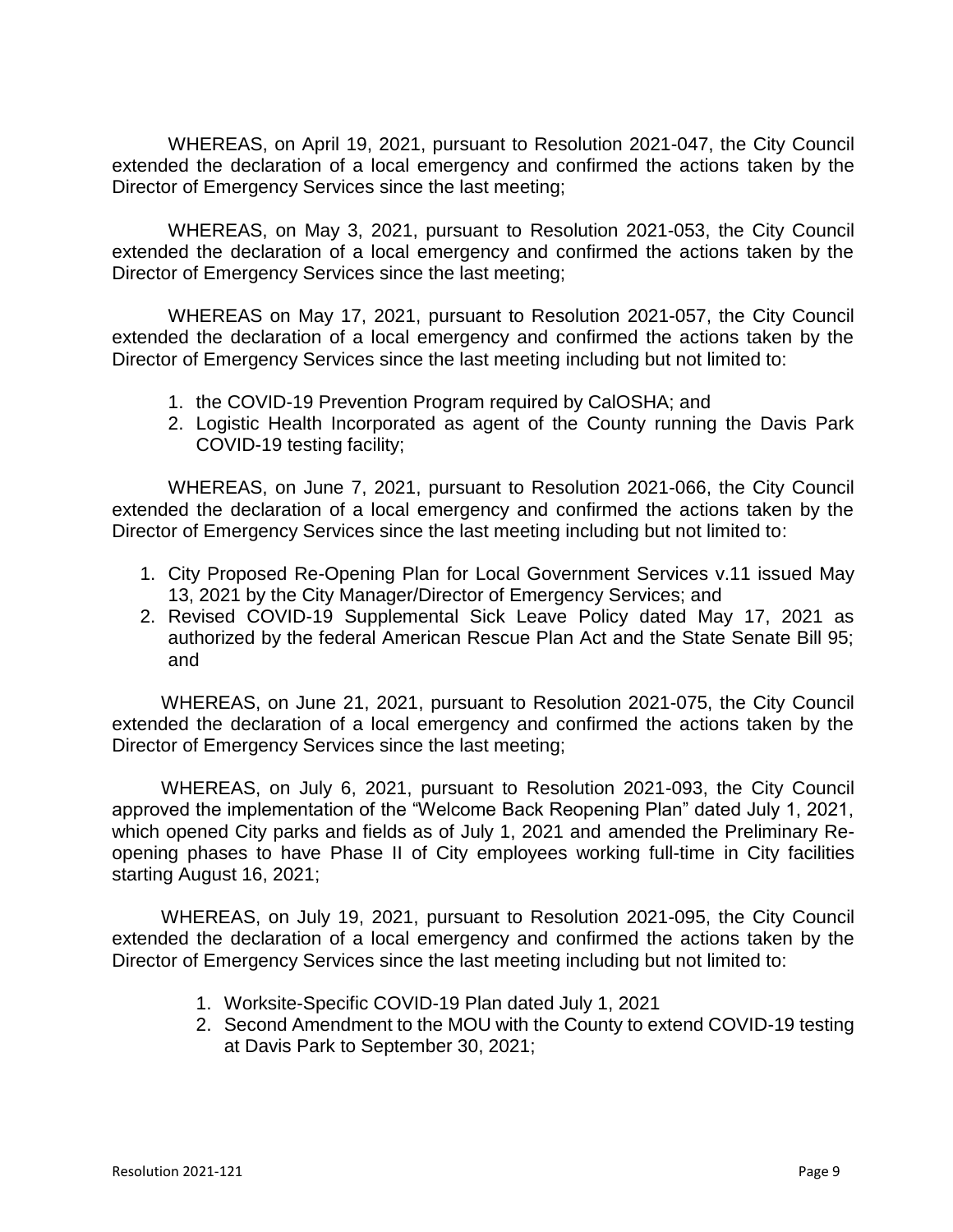WHEREAS, on April 19, 2021, pursuant to Resolution 2021-047, the City Council extended the declaration of a local emergency and confirmed the actions taken by the Director of Emergency Services since the last meeting;

WHEREAS, on May 3, 2021, pursuant to Resolution 2021-053, the City Council extended the declaration of a local emergency and confirmed the actions taken by the Director of Emergency Services since the last meeting;

WHEREAS on May 17, 2021, pursuant to Resolution 2021-057, the City Council extended the declaration of a local emergency and confirmed the actions taken by the Director of Emergency Services since the last meeting including but not limited to:

- 1. the COVID-19 Prevention Program required by CalOSHA; and
- 2. Logistic Health Incorporated as agent of the County running the Davis Park COVID-19 testing facility;

WHEREAS, on June 7, 2021, pursuant to Resolution 2021-066, the City Council extended the declaration of a local emergency and confirmed the actions taken by the Director of Emergency Services since the last meeting including but not limited to:

- 1. City Proposed Re-Opening Plan for Local Government Services v.11 issued May 13, 2021 by the City Manager/Director of Emergency Services; and
- 2. Revised COVID-19 Supplemental Sick Leave Policy dated May 17, 2021 as authorized by the federal American Rescue Plan Act and the State Senate Bill 95; and

WHEREAS, on June 21, 2021, pursuant to Resolution 2021-075, the City Council extended the declaration of a local emergency and confirmed the actions taken by the Director of Emergency Services since the last meeting;

WHEREAS, on July 6, 2021, pursuant to Resolution 2021-093, the City Council approved the implementation of the "Welcome Back Reopening Plan" dated July 1, 2021, which opened City parks and fields as of July 1, 2021 and amended the Preliminary Reopening phases to have Phase II of City employees working full-time in City facilities starting August 16, 2021;

WHEREAS, on July 19, 2021, pursuant to Resolution 2021-095, the City Council extended the declaration of a local emergency and confirmed the actions taken by the Director of Emergency Services since the last meeting including but not limited to:

- 1. Worksite-Specific COVID-19 Plan dated July 1, 2021
- 2. Second Amendment to the MOU with the County to extend COVID-19 testing at Davis Park to September 30, 2021;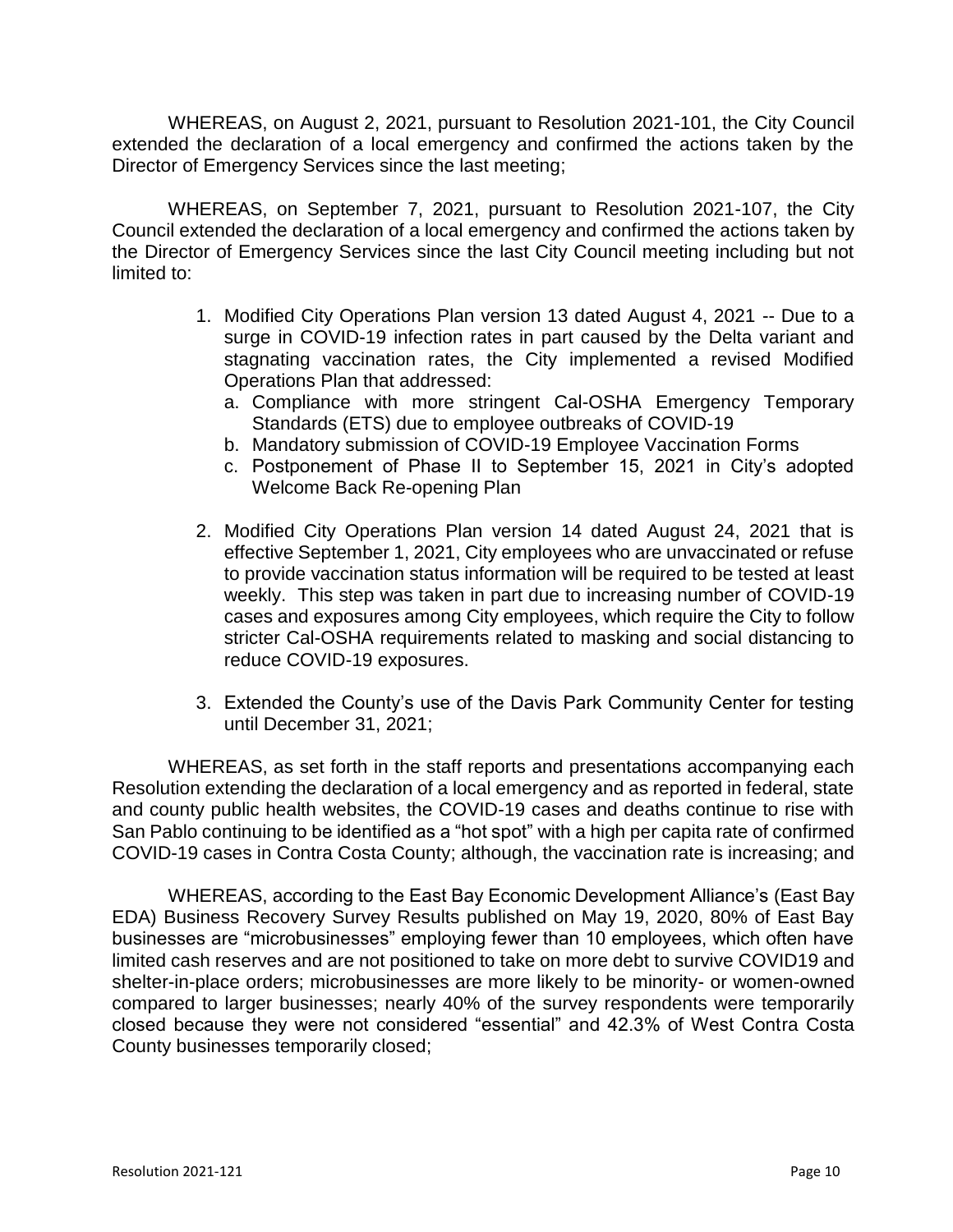WHEREAS, on August 2, 2021, pursuant to Resolution 2021-101, the City Council extended the declaration of a local emergency and confirmed the actions taken by the Director of Emergency Services since the last meeting;

WHEREAS, on September 7, 2021, pursuant to Resolution 2021-107, the City Council extended the declaration of a local emergency and confirmed the actions taken by the Director of Emergency Services since the last City Council meeting including but not limited to:

- 1. Modified City Operations Plan version 13 dated August 4, 2021 -- Due to a surge in COVID-19 infection rates in part caused by the Delta variant and stagnating vaccination rates, the City implemented a revised Modified Operations Plan that addressed:
	- a. Compliance with more stringent Cal-OSHA Emergency Temporary Standards (ETS) due to employee outbreaks of COVID-19
	- b. Mandatory submission of COVID-19 Employee Vaccination Forms
	- c. Postponement of Phase II to September 15, 2021 in City's adopted Welcome Back Re-opening Plan
- 2. Modified City Operations Plan version 14 dated August 24, 2021 that is effective September 1, 2021, City employees who are unvaccinated or refuse to provide vaccination status information will be required to be tested at least weekly. This step was taken in part due to increasing number of COVID-19 cases and exposures among City employees, which require the City to follow stricter Cal-OSHA requirements related to masking and social distancing to reduce COVID-19 exposures.
- 3. Extended the County's use of the Davis Park Community Center for testing until December 31, 2021;

WHEREAS, as set forth in the staff reports and presentations accompanying each Resolution extending the declaration of a local emergency and as reported in federal, state and county public health websites, the COVID-19 cases and deaths continue to rise with San Pablo continuing to be identified as a "hot spot" with a high per capita rate of confirmed COVID-19 cases in Contra Costa County; although, the vaccination rate is increasing; and

WHEREAS, according to the East Bay Economic Development Alliance's (East Bay EDA) Business Recovery Survey Results published on May 19, 2020, 80% of East Bay businesses are "microbusinesses" employing fewer than 10 employees, which often have limited cash reserves and are not positioned to take on more debt to survive COVID19 and shelter-in-place orders; microbusinesses are more likely to be minority- or women-owned compared to larger businesses; nearly 40% of the survey respondents were temporarily closed because they were not considered "essential" and 42.3% of West Contra Costa County businesses temporarily closed;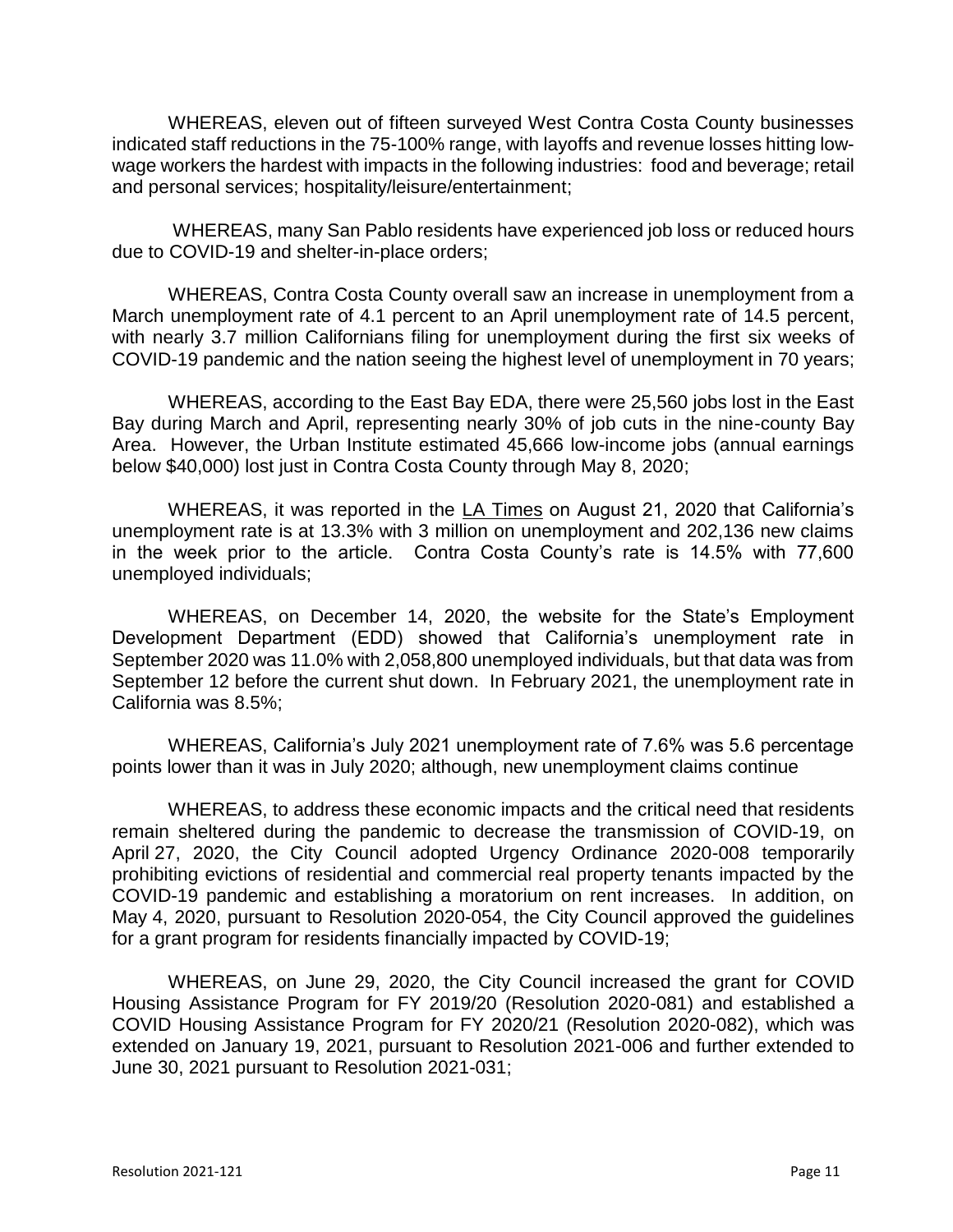WHEREAS, eleven out of fifteen surveyed West Contra Costa County businesses indicated staff reductions in the 75-100% range, with layoffs and revenue losses hitting lowwage workers the hardest with impacts in the following industries: food and beverage; retail and personal services; hospitality/leisure/entertainment;

WHEREAS, many San Pablo residents have experienced job loss or reduced hours due to COVID-19 and shelter-in-place orders;

WHEREAS, Contra Costa County overall saw an increase in unemployment from a March unemployment rate of 4.1 percent to an April unemployment rate of 14.5 percent, with nearly 3.7 million Californians filing for unemployment during the first six weeks of COVID-19 pandemic and the nation seeing the highest level of unemployment in 70 years;

WHEREAS, according to the East Bay EDA, there were 25,560 jobs lost in the East Bay during March and April, representing nearly 30% of job cuts in the nine-county Bay Area. However, the Urban Institute estimated 45,666 low-income jobs (annual earnings below \$40,000) lost just in Contra Costa County through May 8, 2020;

WHEREAS, it was reported in the LA Times on August 21, 2020 that California's unemployment rate is at 13.3% with 3 million on unemployment and 202,136 new claims in the week prior to the article. Contra Costa County's rate is 14.5% with 77,600 unemployed individuals;

WHEREAS, on December 14, 2020, the website for the State's Employment Development Department (EDD) showed that California's unemployment rate in September 2020 was 11.0% with 2,058,800 unemployed individuals, but that data was from September 12 before the current shut down. In February 2021, the unemployment rate in California was 8.5%;

WHEREAS, California's July 2021 unemployment rate of 7.6% was 5.6 percentage points lower than it was in July 2020; although, new unemployment claims continue

WHEREAS, to address these economic impacts and the critical need that residents remain sheltered during the pandemic to decrease the transmission of COVID-19, on April 27, 2020, the City Council adopted Urgency Ordinance 2020-008 temporarily prohibiting evictions of residential and commercial real property tenants impacted by the COVID-19 pandemic and establishing a moratorium on rent increases. In addition, on May 4, 2020, pursuant to Resolution 2020-054, the City Council approved the guidelines for a grant program for residents financially impacted by COVID-19;

WHEREAS, on June 29, 2020, the City Council increased the grant for COVID Housing Assistance Program for FY 2019/20 (Resolution 2020-081) and established a COVID Housing Assistance Program for FY 2020/21 (Resolution 2020-082), which was extended on January 19, 2021, pursuant to Resolution 2021-006 and further extended to June 30, 2021 pursuant to Resolution 2021-031;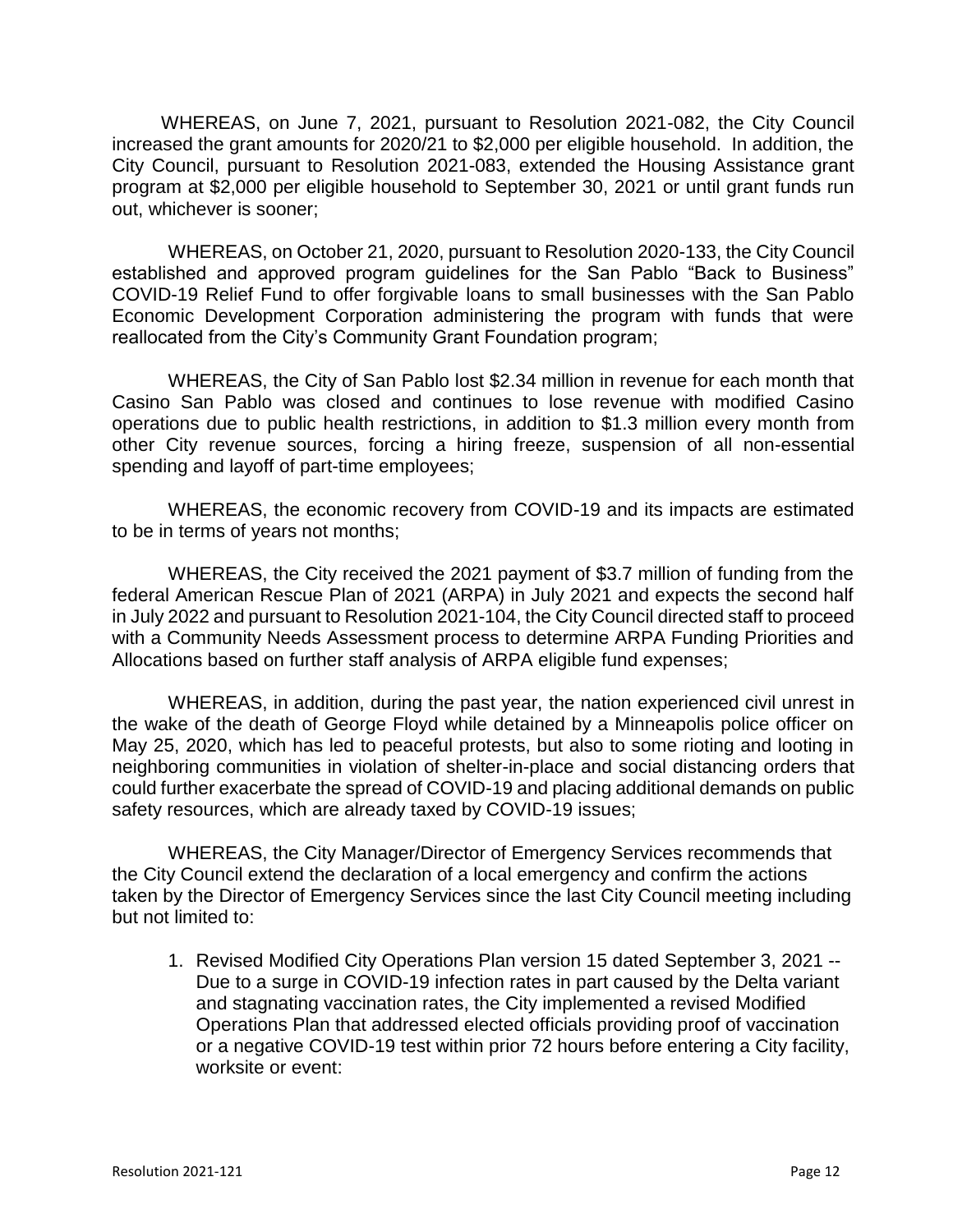WHEREAS, on June 7, 2021, pursuant to Resolution 2021-082, the City Council increased the grant amounts for 2020/21 to \$2,000 per eligible household. In addition, the City Council, pursuant to Resolution 2021-083, extended the Housing Assistance grant program at \$2,000 per eligible household to September 30, 2021 or until grant funds run out, whichever is sooner;

WHEREAS, on October 21, 2020, pursuant to Resolution 2020-133, the City Council established and approved program guidelines for the San Pablo "Back to Business" COVID-19 Relief Fund to offer forgivable loans to small businesses with the San Pablo Economic Development Corporation administering the program with funds that were reallocated from the City's Community Grant Foundation program;

WHEREAS, the City of San Pablo lost \$2.34 million in revenue for each month that Casino San Pablo was closed and continues to lose revenue with modified Casino operations due to public health restrictions, in addition to \$1.3 million every month from other City revenue sources, forcing a hiring freeze, suspension of all non-essential spending and layoff of part-time employees;

WHEREAS, the economic recovery from COVID-19 and its impacts are estimated to be in terms of years not months;

WHEREAS, the City received the 2021 payment of \$3.7 million of funding from the federal American Rescue Plan of 2021 (ARPA) in July 2021 and expects the second half in July 2022 and pursuant to Resolution 2021-104, the City Council directed staff to proceed with a Community Needs Assessment process to determine ARPA Funding Priorities and Allocations based on further staff analysis of ARPA eligible fund expenses;

WHEREAS, in addition, during the past year, the nation experienced civil unrest in the wake of the death of George Floyd while detained by a Minneapolis police officer on May 25, 2020, which has led to peaceful protests, but also to some rioting and looting in neighboring communities in violation of shelter-in-place and social distancing orders that could further exacerbate the spread of COVID-19 and placing additional demands on public safety resources, which are already taxed by COVID-19 issues;

WHEREAS, the City Manager/Director of Emergency Services recommends that the City Council extend the declaration of a local emergency and confirm the actions taken by the Director of Emergency Services since the last City Council meeting including but not limited to:

1. Revised Modified City Operations Plan version 15 dated September 3, 2021 -- Due to a surge in COVID-19 infection rates in part caused by the Delta variant and stagnating vaccination rates, the City implemented a revised Modified Operations Plan that addressed elected officials providing proof of vaccination or a negative COVID-19 test within prior 72 hours before entering a City facility, worksite or event: